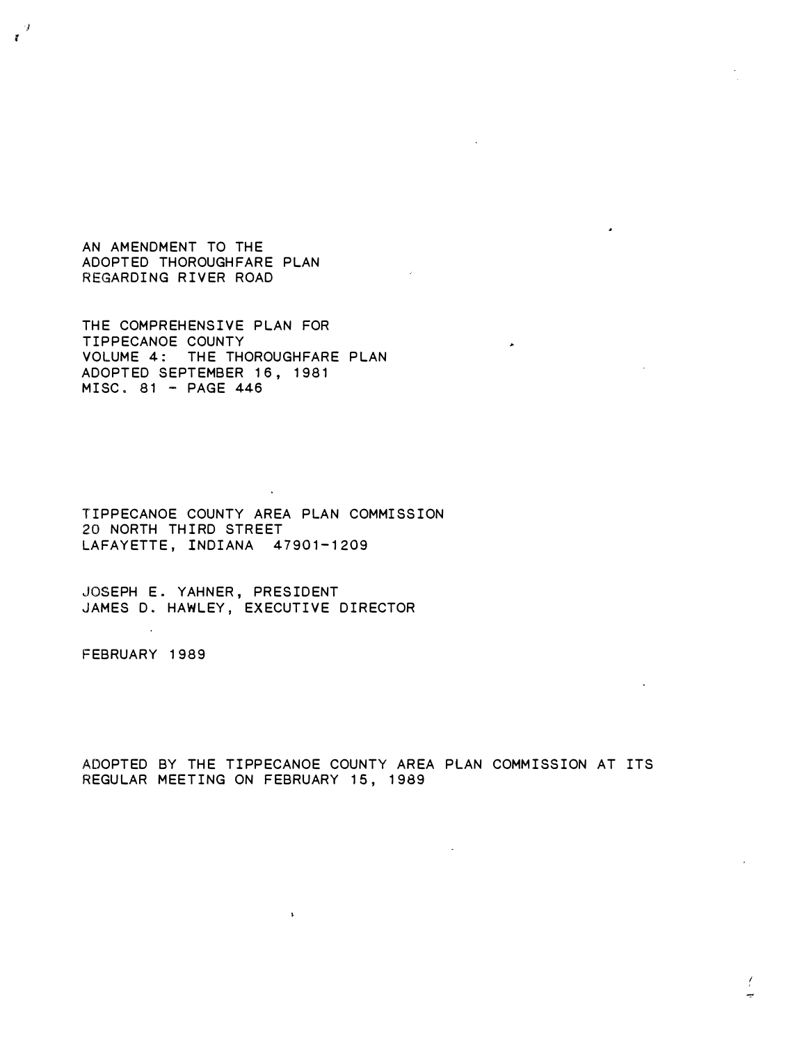AN AMENDMENT TO THE ADOPTED THOROUGHFARE PLAN REGARDING RIVER ROAD

 $\frac{4}{3}$ 

THE COMPREHENSIVE PLAN FOR TIPPECANOE COUNTY VOLUME 4: THE THOROUGHFARE PLAN ADOPTED SEPTEMBER 16, 1981  $MISC. 81 - PAGE 446$ 

TIPPECANOE COUNTY AREA PLAN COMMISSION 20 NORTH THIRD STREET LAFAYETTE, INDIANA 47901-1209

JOSEPH E. YAHNER, PRESIDENT JAMES D. HAWLEY, EXECUTIVE DIRECTOR

 $\bar{\nu}$ 

FEBRUARY 1989

ADOPTED BY THE TIPPECANOE COUNTY AREA PLAN COMMISSION AT ITS REGULAR MEET ING ON FEBRUARY 15, 1989

 $\blacktriangleright$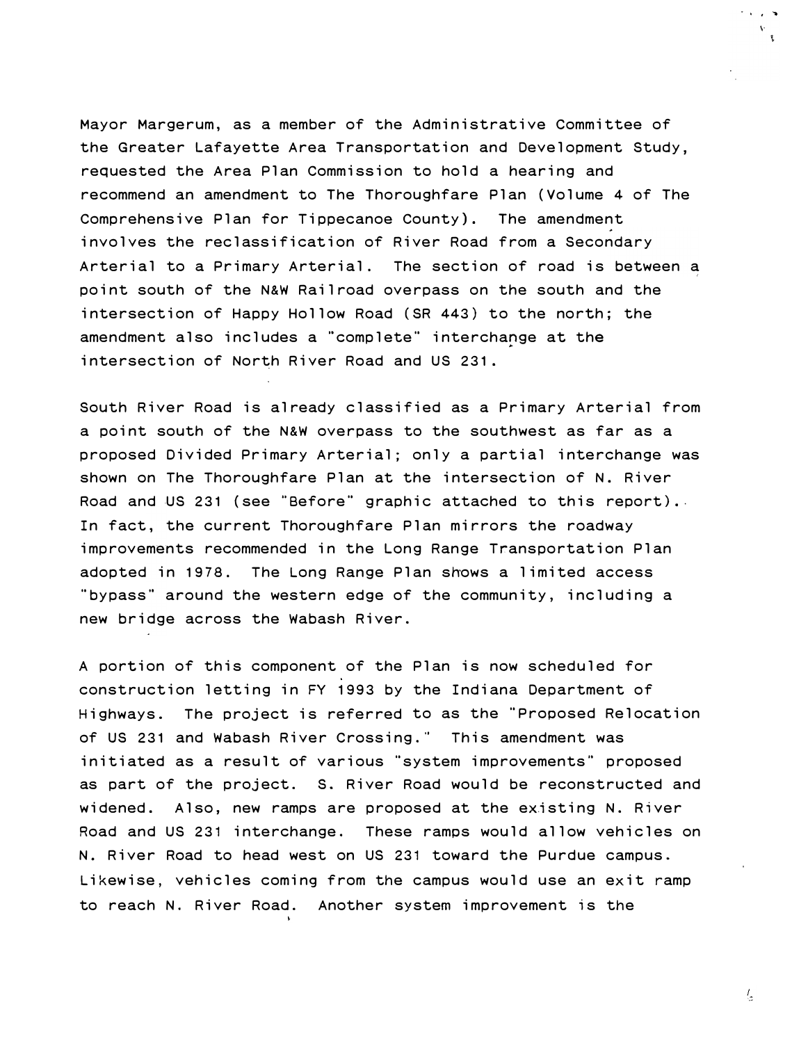Mayor Margerum, as a member of the Administrative Committee of the Greater Lafayette Area Transportation and Development Study, requested the Area Plan Commission to hold a hearing and recommend an amendment to The Thoroughfare Plan (Volume 4 of The Comprehensive Plan for Tippecanoe County). The amendment involves the reclassification of River Road from a Secondary Arterial to a Primary Arterial. The section of road is between a point south of the N&W Railroad overpass on the south and the intersection of Happy Hollow Road (SR 443) to the north; the amendment also includes a "complete" interchange at the intersection of North River Road and US 231.

South River Road is already classified as a Primary Arterial from a point south of the N&W overpass to the southwest as far as a proposed Divided Primary Arterial; only a partial interchange was shown on The Thoroughfare Plan at the intersection of N. River Road and US 231 (see "Before" graphic attached to this report) .. adopted in 1978. The Long Range Plan shows a limited access new bridge across the Wabash River. In fact, the current Thoroughfare Plan mirrors the roadway improvements recommended in the Long Range Transportation Plan "bypass" around the western edge of the community, including a

A portion of this component of the Plan is now scheduled for construction letting in FY 1993 by the Indiana Department of Highways. The project is referred to as the "Proposed Relocation of US 231 and Wabash River Crossing." This amendment was initiated as a result of various "system improvements" proposed as part of the project. S. River Road would be reconstructed and widened. Also, new ramps are proposed at the existing N. River Road and US 231 interchange. These ramps would allow vehicles on N. River Road to head west on US 231 toward the Purdue campus. Likewise, vehicles coming from the campus would use an exit ramp to reach N. River Road. Another system improvement is the

 $\frac{I_{\perp}}{2}$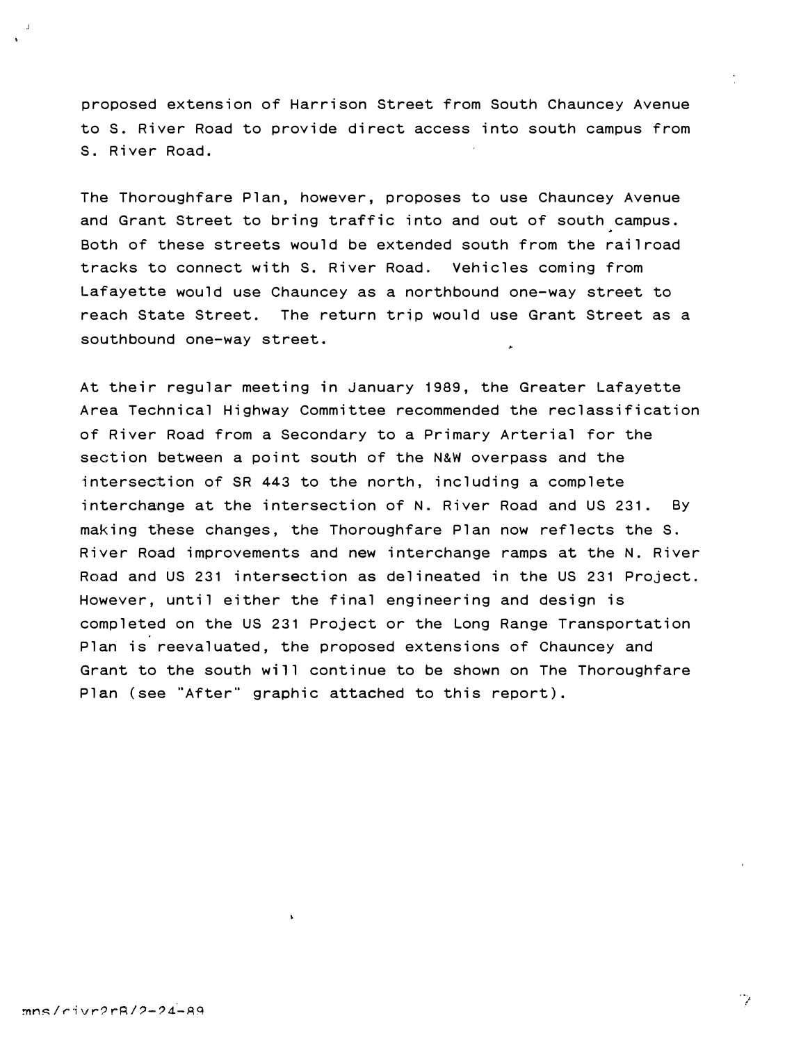proposed extension of Harrison Street from South Chauncey Avenue to S. River Road to provide direct access into south campus from S. River Road.

The Thoroughfare Plan, however, proposes to use Chauncey Avenue and Grant Street to bring traffic into and out of south campus . Both of these streets would be extended south from the railroad tracks to connect with S. River Road. Vehicles coming from Lafayette would use Chauncey as a northbound one-way street to reach State Street. The return trip would use Grant Street as a southbound one-way street.

At their regular meeting in January 1989, the Greater Lafayette Area Technical Highway Committee recommended the reclassification of River Road from a Secondary to a Primary Arterial for the section between a point south of the N&W overpass and the intersection of SR 443 to the north, including a complete interchange at the intersection of N. River Road and US 231. By making these changes, the Thoroughfare Plan now reflects the S. River Road improvements and new interchange ramps at the N. River Road and US 231 intersection as delineated in the US 231 Project. However, until either the final engineering and design is completed on the US 231 Project or the Long Range Transportation Plan is reevaluated, the proposed extensions of Chauncey and Grant to the south will continue to be shown on The Thoroughfare Plan (see "After" graphic attached to this report) .

 $\mathbb{Z}^2$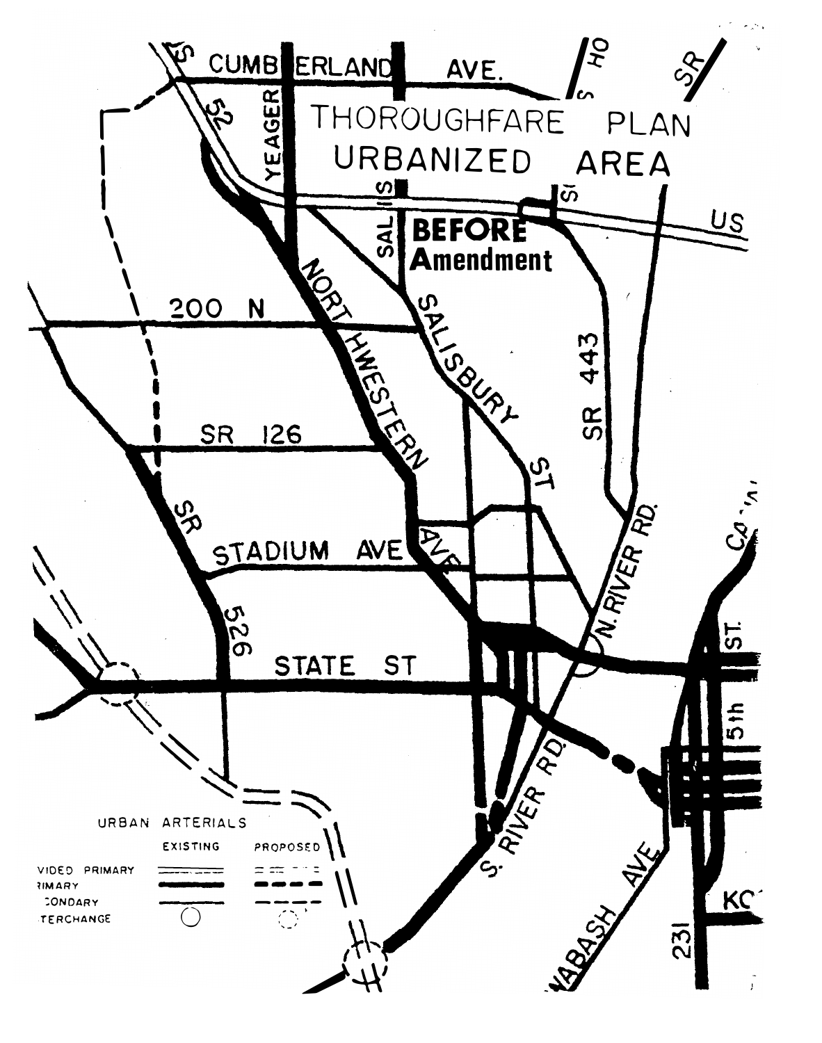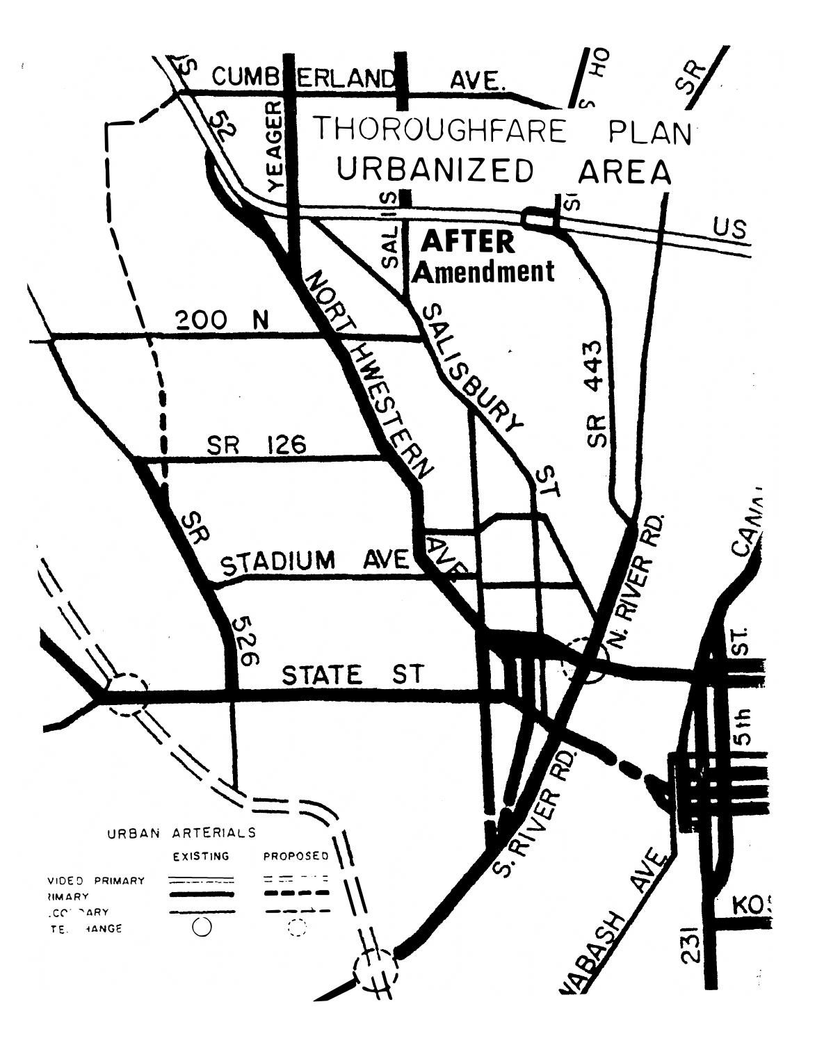